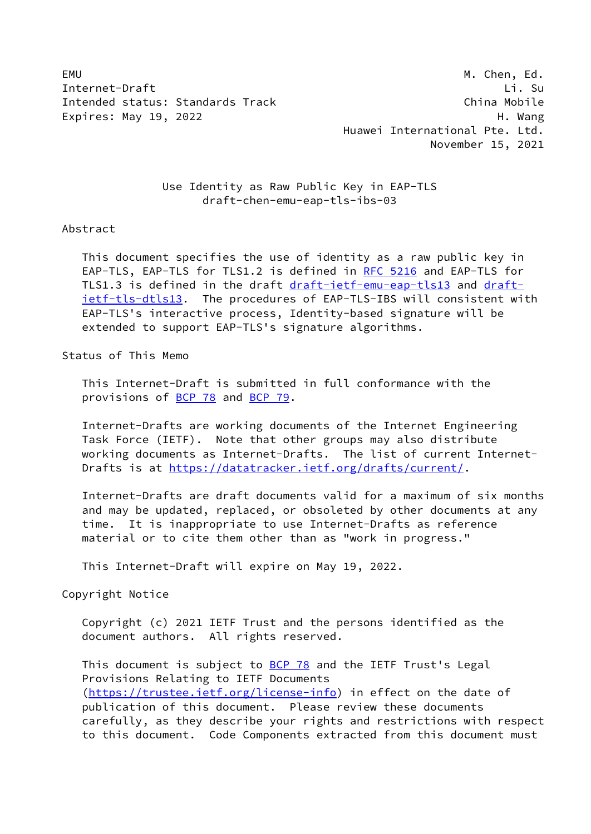EMU M. Chen, Ed. Internet-Draft Li. Su Intended status: Standards Track China Mobile Expires: May 19, 2022 H. Wang

 Huawei International Pte. Ltd. November 15, 2021

 Use Identity as Raw Public Key in EAP-TLS draft-chen-emu-eap-tls-ibs-03

### Abstract

 This document specifies the use of identity as a raw public key in EAP-TLS, EAP-TLS for TLS1.2 is defined in [RFC 5216](https://datatracker.ietf.org/doc/pdf/rfc5216) and EAP-TLS for TLS1.3 is defined in the draft [draft-ietf-emu-eap-tls13](https://datatracker.ietf.org/doc/pdf/draft-ietf-emu-eap-tls13) and [draft](https://datatracker.ietf.org/doc/pdf/draft-ietf-tls-dtls13) [ietf-tls-dtls13](https://datatracker.ietf.org/doc/pdf/draft-ietf-tls-dtls13). The procedures of EAP-TLS-IBS will consistent with EAP-TLS's interactive process, Identity-based signature will be extended to support EAP-TLS's signature algorithms.

## Status of This Memo

 This Internet-Draft is submitted in full conformance with the provisions of **BCP 78** and **BCP 79**.

 Internet-Drafts are working documents of the Internet Engineering Task Force (IETF). Note that other groups may also distribute working documents as Internet-Drafts. The list of current Internet Drafts is at<https://datatracker.ietf.org/drafts/current/>.

 Internet-Drafts are draft documents valid for a maximum of six months and may be updated, replaced, or obsoleted by other documents at any time. It is inappropriate to use Internet-Drafts as reference material or to cite them other than as "work in progress."

This Internet-Draft will expire on May 19, 2022.

Copyright Notice

 Copyright (c) 2021 IETF Trust and the persons identified as the document authors. All rights reserved.

This document is subject to **[BCP 78](https://datatracker.ietf.org/doc/pdf/bcp78)** and the IETF Trust's Legal Provisions Relating to IETF Documents [\(https://trustee.ietf.org/license-info](https://trustee.ietf.org/license-info)) in effect on the date of publication of this document. Please review these documents carefully, as they describe your rights and restrictions with respect to this document. Code Components extracted from this document must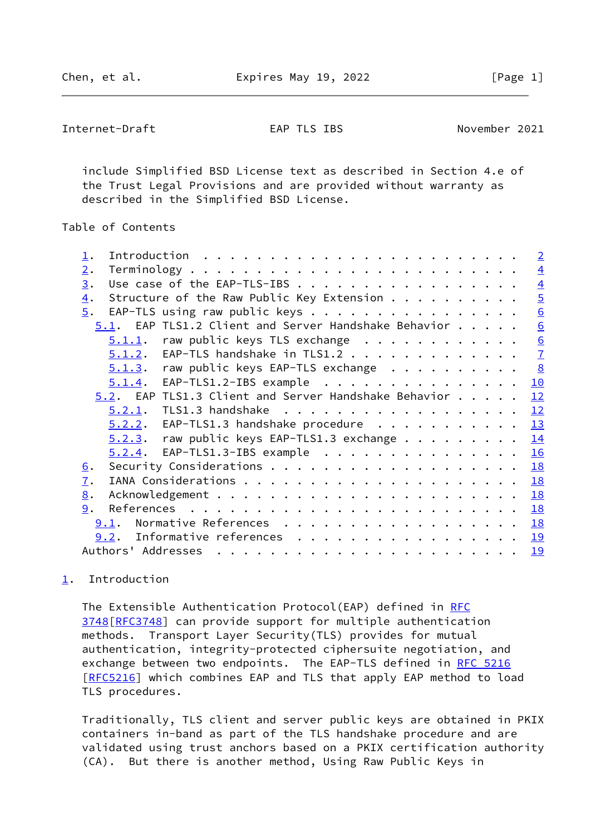<span id="page-1-1"></span>Internet-Draft EAP TLS IBS November 2021

 include Simplified BSD License text as described in Section 4.e of the Trust Legal Provisions and are provided without warranty as described in the Simplified BSD License.

# Table of Contents

|                                                               |  | $\overline{2}$  |
|---------------------------------------------------------------|--|-----------------|
| $\overline{2}$ .                                              |  | $\overline{4}$  |
| Use case of the EAP-TLS-IBS<br>3.                             |  | $\overline{4}$  |
| Structure of the Raw Public Key Extension<br>$\overline{4}$ . |  | $\overline{5}$  |
| $\overline{5}$ .<br>EAP-TLS using raw public keys             |  | $\underline{6}$ |
| 5.1. EAP TLS1.2 Client and Server Handshake Behavior          |  | 6               |
| $5.1.1.$ raw public keys TLS exchange                         |  |                 |
| $5.1.2$ . EAP-TLS handshake in TLS1.2                         |  | $\frac{6}{7}$   |
| $5.1.3$ . raw public keys EAP-TLS exchange                    |  | 8               |
| $5.1.4$ . EAP-TLS1.2-IBS example                              |  | 10              |
| 5.2. EAP TLS1.3 Client and Server Handshake Behavior          |  | 12              |
| 5.2.1. TLS1.3 handshake                                       |  | 12              |
| $5.2.2$ . EAP-TLS1.3 handshake procedure                      |  | <u>13</u>       |
| $5.2.3$ . raw public keys EAP-TLS1.3 exchange                 |  | 14              |
| $5.2.4$ . EAP-TLS1.3-IBS example                              |  | 16              |
| <u>6</u> .                                                    |  | 18              |
| $\overline{1}$ .                                              |  | 18              |
| 8.                                                            |  | 18              |
| 9.                                                            |  | 18              |
| Normative References<br>9.1.                                  |  | 18              |
| Informative references<br>9.2.                                |  | 19              |
| Authors' Addresses                                            |  | 19              |
|                                                               |  |                 |

# <span id="page-1-0"></span>[1](#page-1-0). Introduction

The Extensible Authentication Protocol(EAP) defined in [RFC](https://datatracker.ietf.org/doc/pdf/rfc3748) [3748\[RFC3748](https://datatracker.ietf.org/doc/pdf/rfc3748)] can provide support for multiple authentication methods. Transport Layer Security(TLS) provides for mutual authentication, integrity-protected ciphersuite negotiation, and exchange between two endpoints. The EAP-TLS defined in [RFC 5216](https://datatracker.ietf.org/doc/pdf/rfc5216) [\[RFC5216](https://datatracker.ietf.org/doc/pdf/rfc5216)] which combines EAP and TLS that apply EAP method to load TLS procedures.

 Traditionally, TLS client and server public keys are obtained in PKIX containers in-band as part of the TLS handshake procedure and are validated using trust anchors based on a PKIX certification authority (CA). But there is another method, Using Raw Public Keys in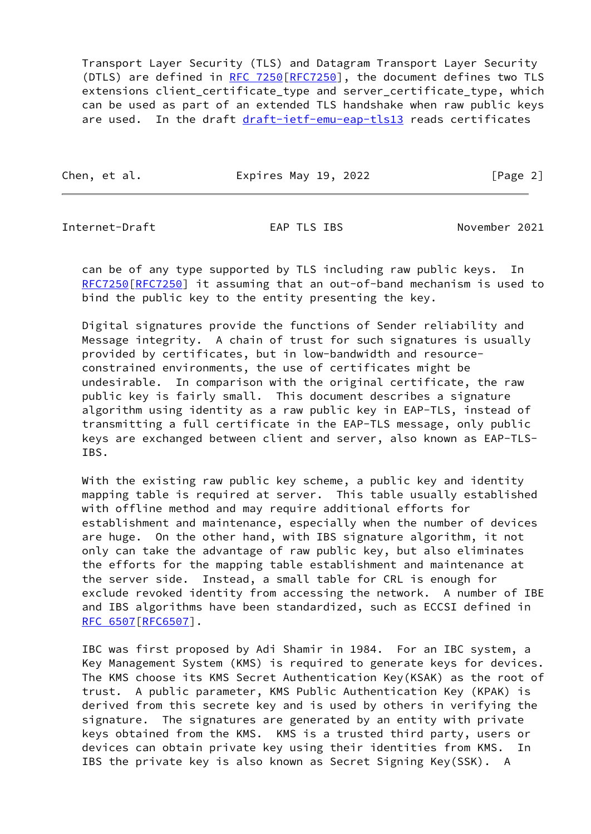Transport Layer Security (TLS) and Datagram Transport Layer Security (DTLS) are defined in [RFC 7250](https://datatracker.ietf.org/doc/pdf/rfc7250) [[RFC7250](https://datatracker.ietf.org/doc/pdf/rfc7250)], the document defines two TLS extensions client certificate type and server certificate type, which can be used as part of an extended TLS handshake when raw public keys are used. In the draft [draft-ietf-emu-eap-tls13](https://datatracker.ietf.org/doc/pdf/draft-ietf-emu-eap-tls13) reads certificates

Chen, et al. **Expires May 19, 2022** [Page 2]

Internet-Draft EAP TLS IBS November 2021

 can be of any type supported by TLS including raw public keys. In [RFC7250\[RFC7250](https://datatracker.ietf.org/doc/pdf/rfc7250)] it assuming that an out-of-band mechanism is used to bind the public key to the entity presenting the key.

 Digital signatures provide the functions of Sender reliability and Message integrity. A chain of trust for such signatures is usually provided by certificates, but in low-bandwidth and resource constrained environments, the use of certificates might be undesirable. In comparison with the original certificate, the raw public key is fairly small. This document describes a signature algorithm using identity as a raw public key in EAP-TLS, instead of transmitting a full certificate in the EAP-TLS message, only public keys are exchanged between client and server, also known as EAP-TLS- IBS.

 With the existing raw public key scheme, a public key and identity mapping table is required at server. This table usually established with offline method and may require additional efforts for establishment and maintenance, especially when the number of devices are huge. On the other hand, with IBS signature algorithm, it not only can take the advantage of raw public key, but also eliminates the efforts for the mapping table establishment and maintenance at the server side. Instead, a small table for CRL is enough for exclude revoked identity from accessing the network. A number of IBE and IBS algorithms have been standardized, such as ECCSI defined in [RFC 6507\[RFC6507](https://datatracker.ietf.org/doc/pdf/rfc6507)].

 IBC was first proposed by Adi Shamir in 1984. For an IBC system, a Key Management System (KMS) is required to generate keys for devices. The KMS choose its KMS Secret Authentication Key(KSAK) as the root of trust. A public parameter, KMS Public Authentication Key (KPAK) is derived from this secrete key and is used by others in verifying the signature. The signatures are generated by an entity with private keys obtained from the KMS. KMS is a trusted third party, users or devices can obtain private key using their identities from KMS. In IBS the private key is also known as Secret Signing Key(SSK). A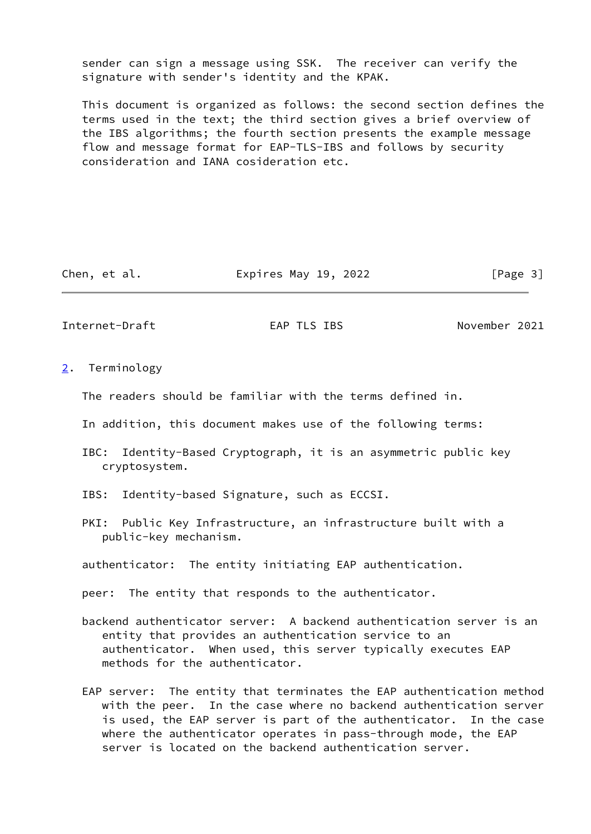sender can sign a message using SSK. The receiver can verify the signature with sender's identity and the KPAK.

 This document is organized as follows: the second section defines the terms used in the text; the third section gives a brief overview of the IBS algorithms; the fourth section presents the example message flow and message format for EAP-TLS-IBS and follows by security consideration and IANA cosideration etc.

Chen, et al. **Expires May 19, 2022** [Page 3]

<span id="page-3-1"></span>Internet-Draft EAP TLS IBS November 2021

<span id="page-3-0"></span>[2](#page-3-0). Terminology

The readers should be familiar with the terms defined in.

- In addition, this document makes use of the following terms:
- IBC: Identity-Based Cryptograph, it is an asymmetric public key cryptosystem.
- IBS: Identity-based Signature, such as ECCSI.
- PKI: Public Key Infrastructure, an infrastructure built with a public-key mechanism.

authenticator: The entity initiating EAP authentication.

peer: The entity that responds to the authenticator.

- backend authenticator server: A backend authentication server is an entity that provides an authentication service to an authenticator. When used, this server typically executes EAP methods for the authenticator.
- EAP server: The entity that terminates the EAP authentication method with the peer. In the case where no backend authentication server is used, the EAP server is part of the authenticator. In the case where the authenticator operates in pass-through mode, the EAP server is located on the backend authentication server.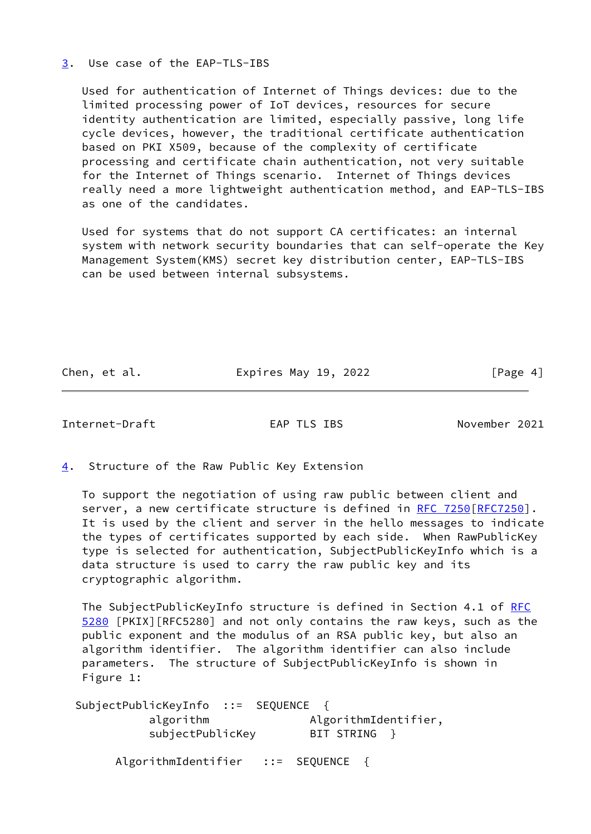## <span id="page-4-0"></span>[3](#page-4-0). Use case of the EAP-TLS-IBS

 Used for authentication of Internet of Things devices: due to the limited processing power of IoT devices, resources for secure identity authentication are limited, especially passive, long life cycle devices, however, the traditional certificate authentication based on PKI X509, because of the complexity of certificate processing and certificate chain authentication, not very suitable for the Internet of Things scenario. Internet of Things devices really need a more lightweight authentication method, and EAP-TLS-IBS as one of the candidates.

 Used for systems that do not support CA certificates: an internal system with network security boundaries that can self-operate the Key Management System(KMS) secret key distribution center, EAP-TLS-IBS can be used between internal subsystems.

Chen, et al. **Expires May 19, 2022** [Page 4]

<span id="page-4-2"></span>Internet-Draft EAP TLS IBS November 2021

<span id="page-4-1"></span>[4](#page-4-1). Structure of the Raw Public Key Extension

 To support the negotiation of using raw public between client and server, a new certificate structure is defined in [RFC 7250](https://datatracker.ietf.org/doc/pdf/rfc7250)[[RFC7250](https://datatracker.ietf.org/doc/pdf/rfc7250)]. It is used by the client and server in the hello messages to indicate the types of certificates supported by each side. When RawPublicKey type is selected for authentication, SubjectPublicKeyInfo which is a data structure is used to carry the raw public key and its cryptographic algorithm.

The SubjectPublicKeyInfo structure is defined in Section 4.1 of [RFC](https://datatracker.ietf.org/doc/pdf/rfc5280) [5280](https://datatracker.ietf.org/doc/pdf/rfc5280) [PKIX][RFC5280] and not only contains the raw keys, such as the public exponent and the modulus of an RSA public key, but also an algorithm identifier. The algorithm identifier can also include parameters. The structure of SubjectPublicKeyInfo is shown in Figure 1:

 SubjectPublicKeyInfo ::= SEQUENCE { algorithm  $\qquad \qquad \text{AlgorithmIdentifier},$ subjectPublicKey BIT STRING } AlgorithmIdentifier ::= SEQUENCE {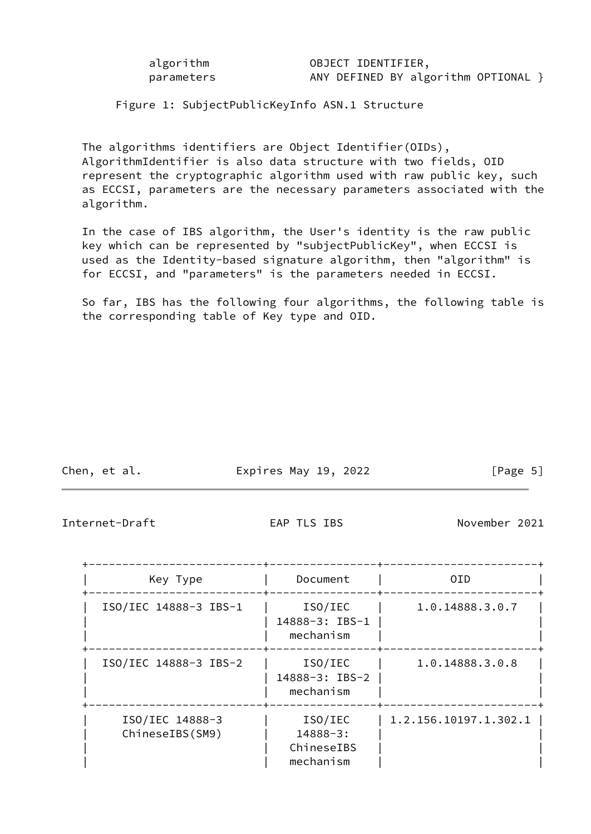algorithm OBJECT IDENTIFIER, parameters MANY DEFINED BY algorithm OPTIONAL }

Figure 1: SubjectPublicKeyInfo ASN.1 Structure

 The algorithms identifiers are Object Identifier(OIDs), AlgorithmIdentifier is also data structure with two fields, OID represent the cryptographic algorithm used with raw public key, such as ECCSI, parameters are the necessary parameters associated with the algorithm.

 In the case of IBS algorithm, the User's identity is the raw public key which can be represented by "subjectPublicKey", when ECCSI is used as the Identity-based signature algorithm, then "algorithm" is for ECCSI, and "parameters" is the parameters needed in ECCSI.

 So far, IBS has the following four algorithms, the following table is the corresponding table of Key type and OID.

| Chen, et al. | Expires May 19, 2022 | [Page 5] |  |
|--------------|----------------------|----------|--|
|              |                      |          |  |

<span id="page-5-0"></span>Internet-Draft EAP TLS IBS November 2021

| Key Type                           | Document                                           | 0ID.                  |
|------------------------------------|----------------------------------------------------|-----------------------|
| ISO/IEC 14888-3 IBS-1              | ISO/IEC<br>14888-3: IBS-1<br>mechanism             | 1.0.14888.3.0.7       |
| ISO/IEC 14888-3 IBS-2              | ISO/IEC<br>14888-3: IBS-2<br>mechanism             | 1.0.14888.3.0.8       |
| ISO/IEC 14888-3<br>ChineseIBS(SM9) | ISO/IEC<br>$14888 - 3:$<br>ChineseIBS<br>mechanism | 1.2.156.10197.1.302.1 |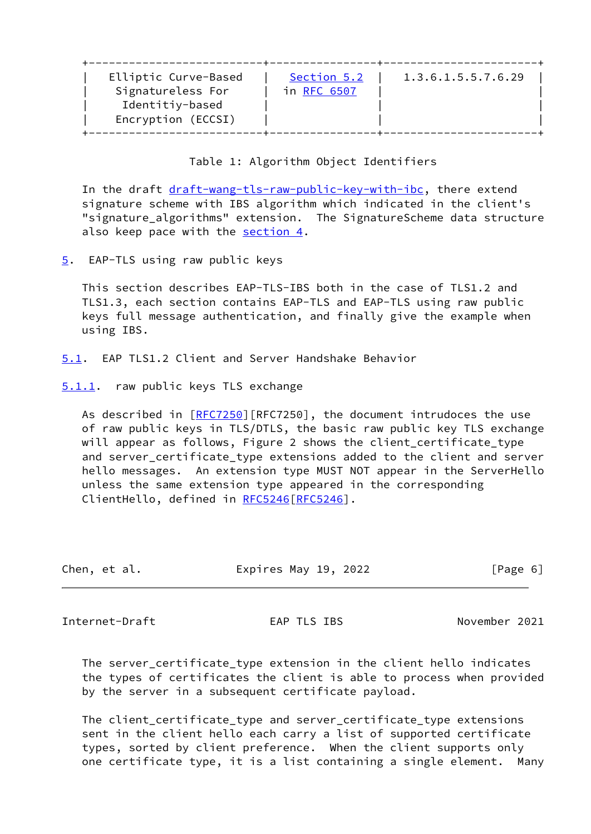| Elliptic Curve-Based<br>1.3.6.1.5.5.7.6.29<br>Section 5.2<br>Signatureless For<br>in RFC 6507<br>Identitiy-based<br>Encryption (ECCSI) |  |
|----------------------------------------------------------------------------------------------------------------------------------------|--|
|----------------------------------------------------------------------------------------------------------------------------------------|--|

# Table 1: Algorithm Object Identifiers

In the draft [draft-wang-tls-raw-public-key-with-ibc](https://datatracker.ietf.org/doc/pdf/draft-wang-tls-raw-public-key-with-ibc), there extend signature scheme with IBS algorithm which indicated in the client's "signature\_algorithms" extension. The SignatureScheme data structure also keep pace with the [section 4](#page-4-1).

<span id="page-6-0"></span>[5](#page-6-0). EAP-TLS using raw public keys

 This section describes EAP-TLS-IBS both in the case of TLS1.2 and TLS1.3, each section contains EAP-TLS and EAP-TLS using raw public keys full message authentication, and finally give the example when using IBS.

- <span id="page-6-1"></span>[5.1](#page-6-1). EAP TLS1.2 Client and Server Handshake Behavior
- <span id="page-6-2"></span>[5.1.1](#page-6-2). raw public keys TLS exchange

As described in [\[RFC7250](https://datatracker.ietf.org/doc/pdf/rfc7250)][RFC7250], the document intrudoces the use of raw public keys in TLS/DTLS, the basic raw public key TLS exchange will appear as follows, Figure 2 shows the client\_certificate\_type and server\_certificate\_type extensions added to the client and server hello messages. An extension type MUST NOT appear in the ServerHello unless the same extension type appeared in the corresponding ClientHello, defined in [RFC5246\[RFC5246](https://datatracker.ietf.org/doc/pdf/rfc5246)].

| Chen, et al. | Expires May 19, 2022 | [Page 6] |
|--------------|----------------------|----------|

<span id="page-6-3"></span>Internet-Draft EAP TLS IBS November 2021

 The server\_certificate\_type extension in the client hello indicates the types of certificates the client is able to process when provided by the server in a subsequent certificate payload.

 The client\_certificate\_type and server\_certificate\_type extensions sent in the client hello each carry a list of supported certificate types, sorted by client preference. When the client supports only one certificate type, it is a list containing a single element. Many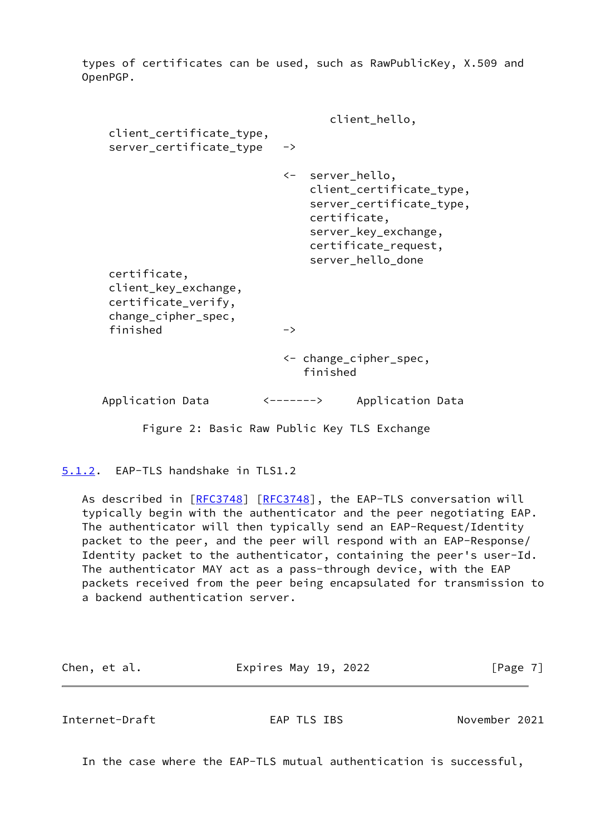types of certificates can be used, such as RawPublicKey, X.509 and OpenPGP.

|                                                                                    | client_hello,                                                                                                                                                 |
|------------------------------------------------------------------------------------|---------------------------------------------------------------------------------------------------------------------------------------------------------------|
| client_certificate_type,<br>server_certificate_type                                | ->                                                                                                                                                            |
|                                                                                    | <- server_hello,<br>client_certificate_type,<br>server_certificate_type,<br>certificate,<br>server_key_exchange,<br>certificate_request,<br>server_hello_done |
| certificate,<br>client_key_exchange,<br>certificate_verify,<br>change_cipher_spec, |                                                                                                                                                               |
| finished                                                                           | $\rightarrow$                                                                                                                                                 |
|                                                                                    | <- change_cipher_spec,<br>finished                                                                                                                            |
| Application Data                                                                   | <-------><br>Application Data                                                                                                                                 |
|                                                                                    |                                                                                                                                                               |

Figure 2: Basic Raw Public Key TLS Exchange

<span id="page-7-0"></span>[5.1.2](#page-7-0). EAP-TLS handshake in TLS1.2

As described in [\[RFC3748](https://datatracker.ietf.org/doc/pdf/rfc3748)] [[RFC3748](https://datatracker.ietf.org/doc/pdf/rfc3748)], the EAP-TLS conversation will typically begin with the authenticator and the peer negotiating EAP. The authenticator will then typically send an EAP-Request/Identity packet to the peer, and the peer will respond with an EAP-Response/ Identity packet to the authenticator, containing the peer's user-Id. The authenticator MAY act as a pass-through device, with the EAP packets received from the peer being encapsulated for transmission to a backend authentication server.

| Expires May 19, 2022<br>[Page 7]<br>Chen, et al. |  |
|--------------------------------------------------|--|
|--------------------------------------------------|--|

<span id="page-7-1"></span>Internet-Draft EAP TLS IBS November 2021

In the case where the EAP-TLS mutual authentication is successful,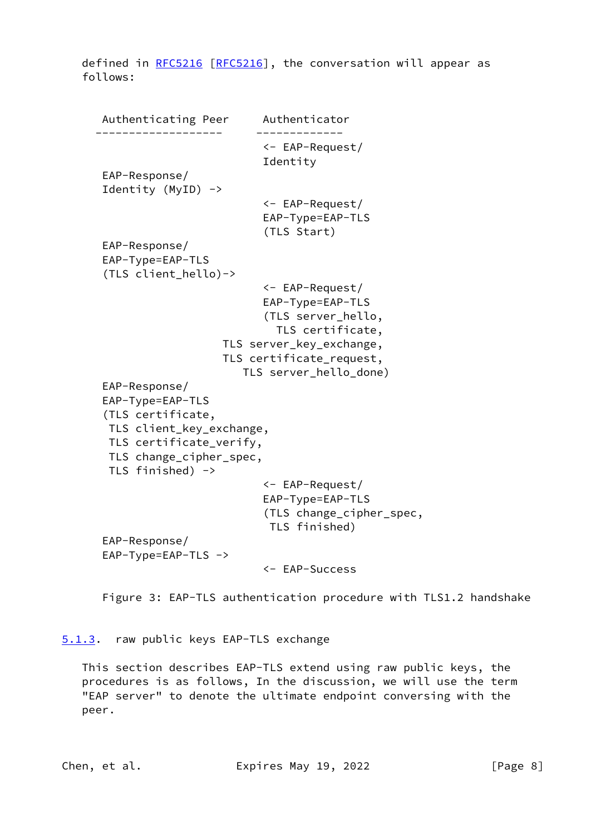defined in [RFC5216](https://datatracker.ietf.org/doc/pdf/rfc5216) [[RFC5216\]](https://datatracker.ietf.org/doc/pdf/rfc5216), the conversation will appear as follows:

 Authenticating Peer Authenticator ------------------- ------------- <- EAP-Request/ Identity EAP-Response/ Identity (MyID) -> <- EAP-Request/ EAP-Type=EAP-TLS (TLS Start) EAP-Response/ EAP-Type=EAP-TLS (TLS client\_hello)-> <- EAP-Request/ EAP-Type=EAP-TLS (TLS server\_hello, TLS certificate, TLS server\_key\_exchange, TLS certificate\_request, TLS server\_hello\_done) EAP-Response/ EAP-Type=EAP-TLS (TLS certificate, TLS client\_key\_exchange, TLS certificate\_verify, TLS change\_cipher\_spec, TLS finished) -> <- EAP-Request/ EAP-Type=EAP-TLS (TLS change\_cipher\_spec, TLS finished) EAP-Response/ EAP-Type=EAP-TLS -> <- EAP-Success

Figure 3: EAP-TLS authentication procedure with TLS1.2 handshake

<span id="page-8-0"></span>[5.1.3](#page-8-0). raw public keys EAP-TLS exchange

 This section describes EAP-TLS extend using raw public keys, the procedures is as follows, In the discussion, we will use the term "EAP server" to denote the ultimate endpoint conversing with the peer.

Chen, et al. **Expires May 19, 2022** [Page 8]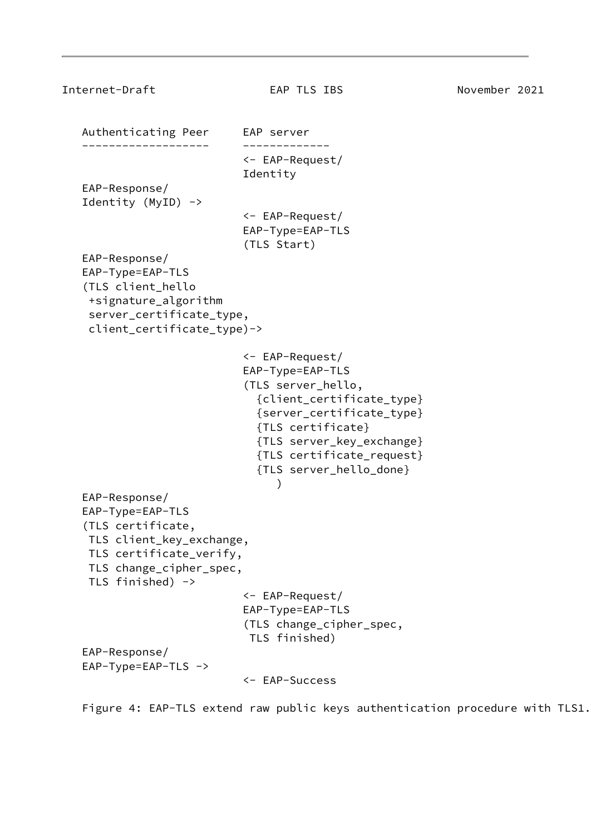```
Internet-Draft EAP TLS IBS November 2021
   Authenticating Peer EAP server
    ------------------- -------------
                           <- EAP-Request/
                           Identity
   EAP-Response/
   Identity (MyID) ->
                           <- EAP-Request/
                           EAP-Type=EAP-TLS
                            (TLS Start)
   EAP-Response/
   EAP-Type=EAP-TLS
    (TLS client_hello
    +signature_algorithm
    server_certificate_type,
    client_certificate_type)->
                           <- EAP-Request/
                           EAP-Type=EAP-TLS
                            (TLS server_hello,
                             {client_certificate_type}
                             {server_certificate_type}
                             {TLS certificate}
                             {TLS server_key_exchange}
                             {TLS certificate_request}
                             {TLS server_hello_done}
) EAP-Response/
   EAP-Type=EAP-TLS
    (TLS certificate,
    TLS client_key_exchange,
    TLS certificate_verify,
    TLS change_cipher_spec,
    TLS finished) ->
                           <- EAP-Request/
                           EAP-Type=EAP-TLS
                            (TLS change_cipher_spec,
                            TLS finished)
   EAP-Response/
   EAP-Type=EAP-TLS ->
                           <- EAP-Success
```
Figure 4: EAP-TLS extend raw public keys authentication procedure with TLS1.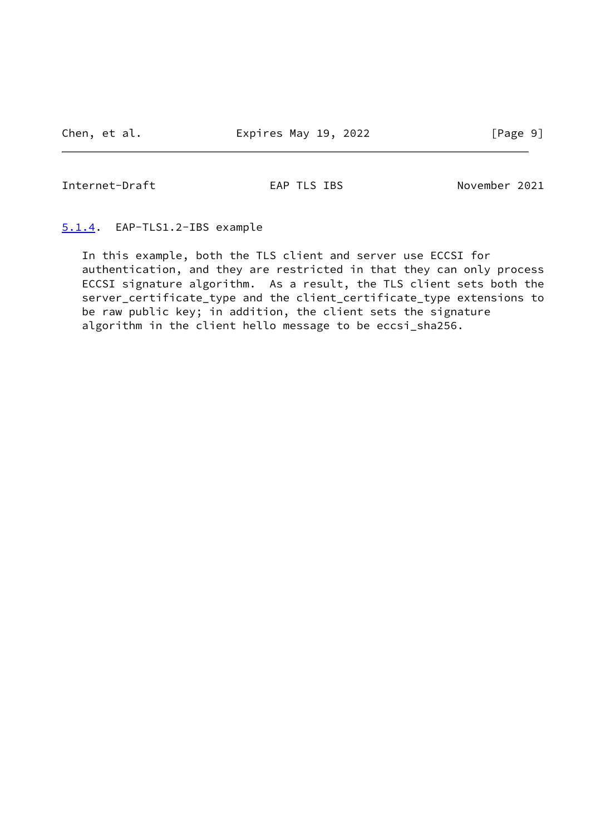<span id="page-10-1"></span>Internet-Draft EAP TLS IBS November 2021

### <span id="page-10-0"></span>[5.1.4](#page-10-0). EAP-TLS1.2-IBS example

 In this example, both the TLS client and server use ECCSI for authentication, and they are restricted in that they can only process ECCSI signature algorithm. As a result, the TLS client sets both the server\_certificate\_type and the client\_certificate\_type extensions to be raw public key; in addition, the client sets the signature algorithm in the client hello message to be eccsi\_sha256.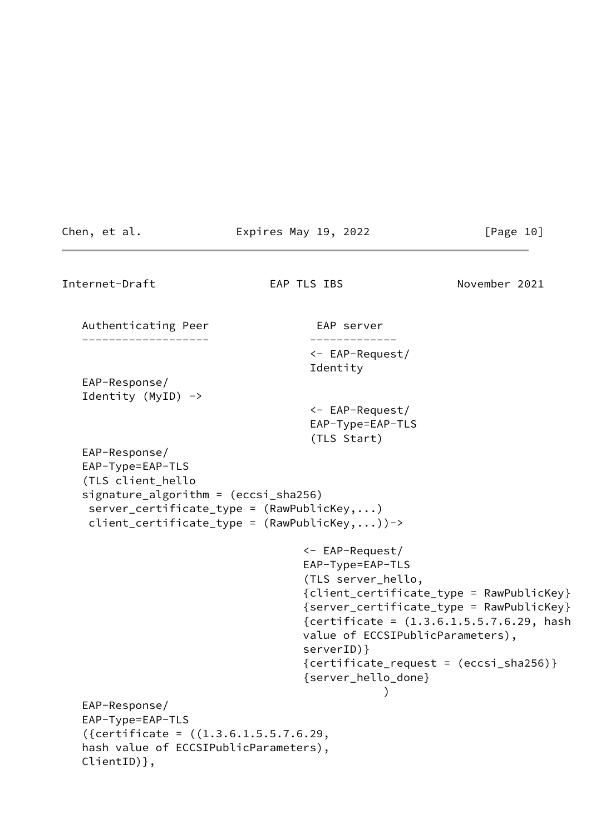```
Chen, et al. Expires May 19, 2022 [Page 10]
Internet-Draft EAP TLS IBS November 2021
  Authenticating Peer EAP server
    ------------------- -------------
                                     <- EAP-Request/
                                     Identity
   EAP-Response/
   Identity (MyID) ->
                                     <- EAP-Request/
                                     EAP-Type=EAP-TLS
                                     (TLS Start)
   EAP-Response/
   EAP-Type=EAP-TLS
    (TLS client_hello
   signature_algorithm = (eccsi_sha256)
    server_certificate_type = (RawPublicKey,...)
    client_certificate_type = (RawPublicKey,...))->
                                    <- EAP-Request/
                                    EAP-Type=EAP-TLS
                                    (TLS server_hello,
                                    {client_certificate_type = RawPublicKey}
                                    {server_certificate_type = RawPublicKey}
                                    {certificate = (1.3.6.1.5.5.7.6.29, hash
                                    value of ECCSIPublicParameters),
                                    serverID)}
                                    {certificate_request = (eccsi_sha256)}
                                    {server_hello_done}
) and the contract of \mathcal{O}(\mathbb{R}^d) and \mathcal{O}(\mathbb{R}^d) EAP-Response/
   EAP-Type=EAP-TLS
    ({certificate = ((1.3.6.1.5.5.7.6.29,
   hash value of ECCSIPublicParameters),
   ClientID)},
```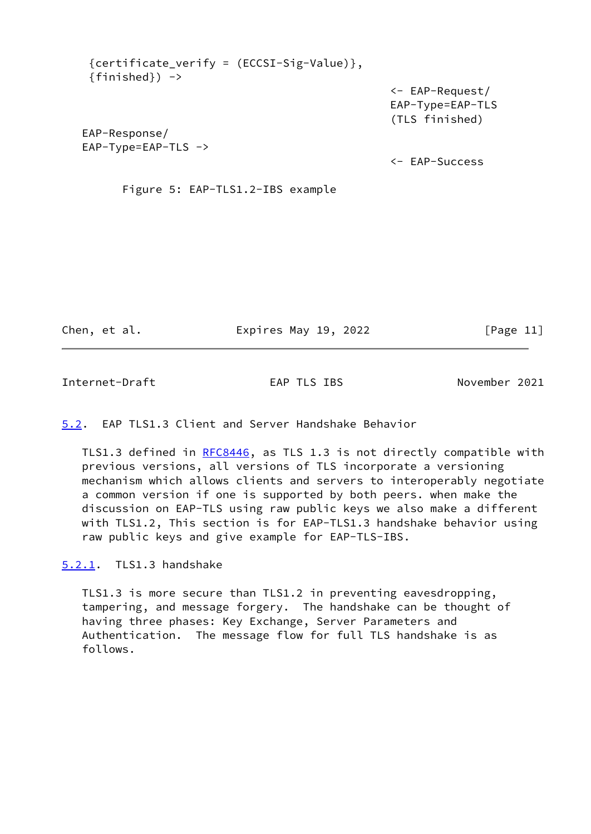| ${certificance_verify = (ECCSI-Sig-Value)},$<br>$\{final\}$ -> |                                                                 |
|----------------------------------------------------------------|-----------------------------------------------------------------|
|                                                                | $\leftarrow$ EAP-Request/<br>EAP-Type=EAP-TLS<br>(TLS finished) |
| EAP-Response/                                                  |                                                                 |
| $EAP-Type=EAP-TLS$ ->                                          |                                                                 |
|                                                                | $\leftarrow$ EAP-Success                                        |
| Figure 5: EAP-TLS1.2-IBS example                               |                                                                 |

Chen, et al. Expires May 19, 2022 [Page 11]

<span id="page-12-1"></span>Internet-Draft EAP TLS IBS November 2021

## <span id="page-12-0"></span>[5.2](#page-12-0). EAP TLS1.3 Client and Server Handshake Behavior

TLS1.3 defined in [RFC8446](https://datatracker.ietf.org/doc/pdf/rfc8446), as TLS 1.3 is not directly compatible with previous versions, all versions of TLS incorporate a versioning mechanism which allows clients and servers to interoperably negotiate a common version if one is supported by both peers. when make the discussion on EAP-TLS using raw public keys we also make a different with TLS1.2, This section is for EAP-TLS1.3 handshake behavior using raw public keys and give example for EAP-TLS-IBS.

<span id="page-12-2"></span>[5.2.1](#page-12-2). TLS1.3 handshake

 TLS1.3 is more secure than TLS1.2 in preventing eavesdropping, tampering, and message forgery. The handshake can be thought of having three phases: Key Exchange, Server Parameters and Authentication. The message flow for full TLS handshake is as follows.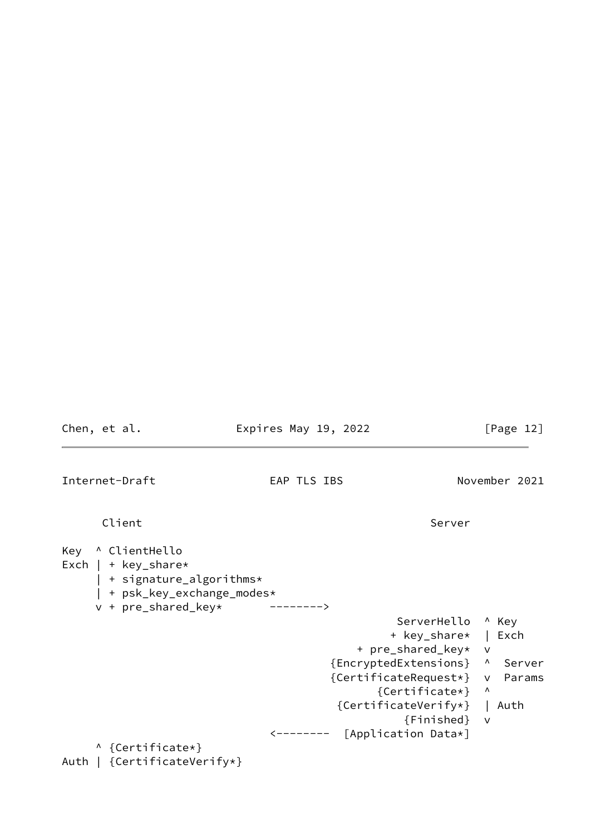<span id="page-13-0"></span>Chen, et al. **Expires May 19, 2022** [Page 12] Internet-Draft EAP TLS IBS November 2021 Client Server Server Server Server Server Server Server Server Server Server Server Server Server Server Serve Key ^ ClientHello Exch | + key\_share\* | + signature\_algorithms\* | + psk\_key\_exchange\_modes\* v + pre\_shared\_key\* --------> ServerHello ^ Key + key\_share\* | Exch + pre\_shared\_key\* v {EncryptedExtensions} ^ Server {CertificateRequest\*} v Params {Certificate\*} ^ {CertificateVerify\*} | Auth {Finished} v <-------- [Application Data\*] ^ {Certificate\*}

```
Auth | {CertificateVerify*}
```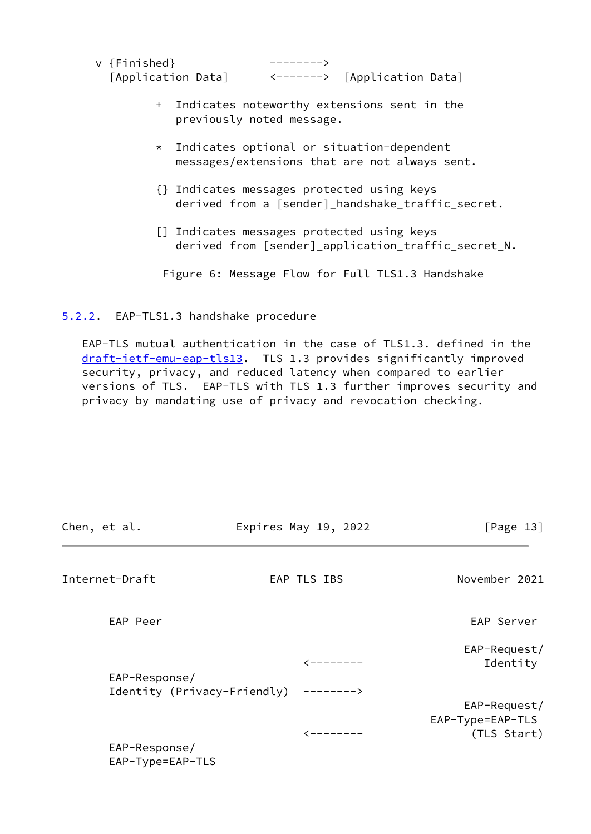| v {Finished}       | ————————>                    |  |
|--------------------|------------------------------|--|
| [Application Data] | <-------> [Application Data] |  |

- + Indicates noteworthy extensions sent in the previously noted message.
- \* Indicates optional or situation-dependent messages/extensions that are not always sent.
- {} Indicates messages protected using keys derived from a [sender]\_handshake\_traffic\_secret.
- [] Indicates messages protected using keys derived from [sender]\_application\_traffic\_secret\_N.

Figure 6: Message Flow for Full TLS1.3 Handshake

# <span id="page-14-0"></span>[5.2.2](#page-14-0). EAP-TLS1.3 handshake procedure

 EAP-TLS mutual authentication in the case of TLS1.3. defined in the [draft-ietf-emu-eap-tls13](https://datatracker.ietf.org/doc/pdf/draft-ietf-emu-eap-tls13). TLS 1.3 provides significantly improved security, privacy, and reduced latency when compared to earlier versions of TLS. EAP-TLS with TLS 1.3 further improves security and privacy by mandating use of privacy and revocation checking.

<span id="page-14-1"></span>

| Chen, et al.                      | Expires May 19, 2022                  | [Page 13]                                       |
|-----------------------------------|---------------------------------------|-------------------------------------------------|
| Internet-Draft                    | EAP TLS IBS                           | November 2021                                   |
| EAP Peer                          |                                       | EAP Server                                      |
| EAP-Response/                     |                                       | EAP-Request/<br>Identity                        |
|                                   | Identity (Privacy-Friendly) --------> |                                                 |
|                                   | $\leftarrow$ - - - - - - -            | EAP-Request/<br>EAP-Type=EAP-TLS<br>(TLS Start) |
| EAP-Response/<br>EAP-Type=EAP-TLS |                                       |                                                 |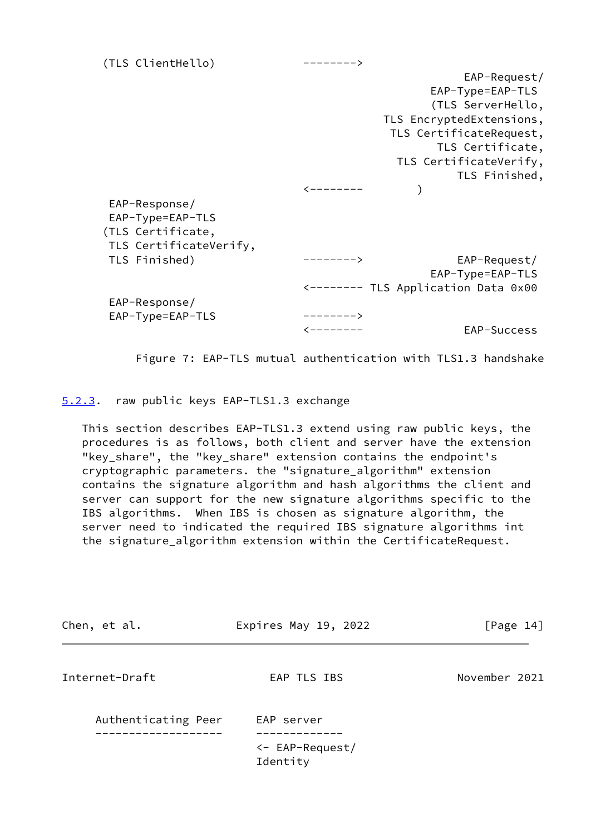| (TLS ClientHello)      | -------->  |                                     |
|------------------------|------------|-------------------------------------|
|                        |            | EAP-Request/                        |
|                        |            | $EAP-Type=EAP-TLS$                  |
|                        |            | (TLS ServerHello,                   |
|                        |            | TLS EncryptedExtensions,            |
|                        |            | TLS CertificateRequest,             |
|                        |            | TLS Certificate,                    |
|                        |            | TLS CertificateVerify,              |
|                        |            | TLS Finished,                       |
|                        |            |                                     |
| EAP-Response/          |            |                                     |
| EAP-Type=EAP-TLS       |            |                                     |
| (TLS Certificate,      |            |                                     |
| TLS CertificateVerify, |            |                                     |
| TLS Finished)          | ------->   | EAP-Request/                        |
|                        |            | EAP-Type=EAP-TLS                    |
|                        |            | <-------- TLS Application Data 0x00 |
| EAP-Response/          |            |                                     |
| EAP-Type=EAP-TLS       | $--------$ |                                     |
|                        | ---------  | EAP-Success                         |
|                        |            |                                     |

Figure 7: EAP-TLS mutual authentication with TLS1.3 handshake

<span id="page-15-0"></span>[5.2.3](#page-15-0). raw public keys EAP-TLS1.3 exchange

 This section describes EAP-TLS1.3 extend using raw public keys, the procedures is as follows, both client and server have the extension "key\_share", the "key\_share" extension contains the endpoint's cryptographic parameters. the "signature\_algorithm" extension contains the signature algorithm and hash algorithms the client and server can support for the new signature algorithms specific to the IBS algorithms. When IBS is chosen as signature algorithm, the server need to indicated the required IBS signature algorithms int the signature\_algorithm extension within the CertificateRequest.

| Chen, et al.        | Expires May 19, 2022                  | [Page 14]     |
|---------------------|---------------------------------------|---------------|
| Internet-Draft      | EAP TLS IBS                           | November 2021 |
| Authenticating Peer | EAP server                            |               |
|                     | $\leftarrow$ EAP-Request/<br>Identity |               |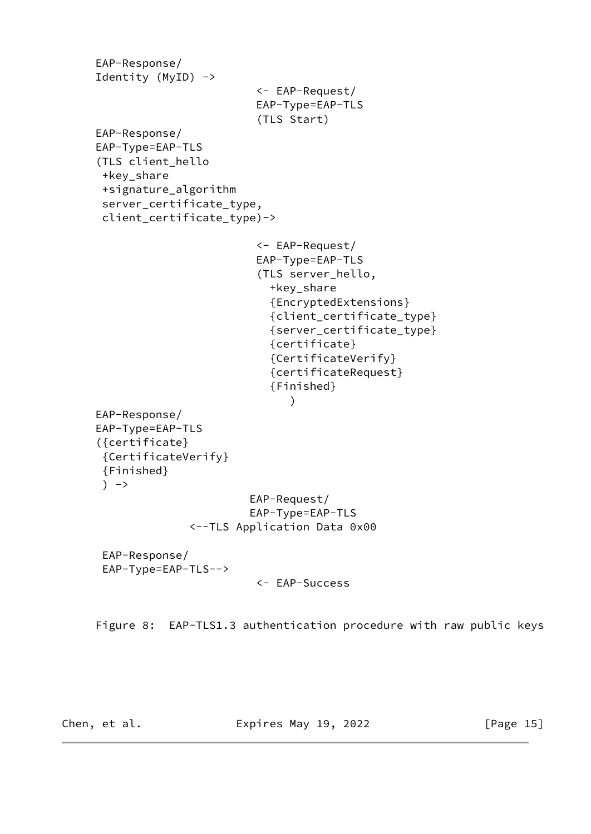```
 EAP-Response/
      Identity (MyID) ->
                                <- EAP-Request/
                                EAP-Type=EAP-TLS
                                (TLS Start)
      EAP-Response/
      EAP-Type=EAP-TLS
      (TLS client_hello
       +key_share
       +signature_algorithm
       server_certificate_type,
       client_certificate_type)->
                                <- EAP-Request/
                                EAP-Type=EAP-TLS
                                (TLS server_hello,
                                  +key_share
                                  {EncryptedExtensions}
                                  {client_certificate_type}
                                  {server_certificate_type}
                                  {certificate}
                                  {CertificateVerify}
                                  {certificateRequest}
                                  {Finished}
) and the contract of \mathcal{L} EAP-Response/
      EAP-Type=EAP-TLS
      ({certificate}
       {CertificateVerify}
       {Finished}
      ) ->
                               EAP-Request/
                               EAP-Type=EAP-TLS
                     <--TLS Application Data 0x00
       EAP-Response/
       EAP-Type=EAP-TLS-->
                                <- EAP-Success
```
Figure 8: EAP-TLS1.3 authentication procedure with raw public keys

Chen, et al. **Expires May 19, 2022** [Page 15]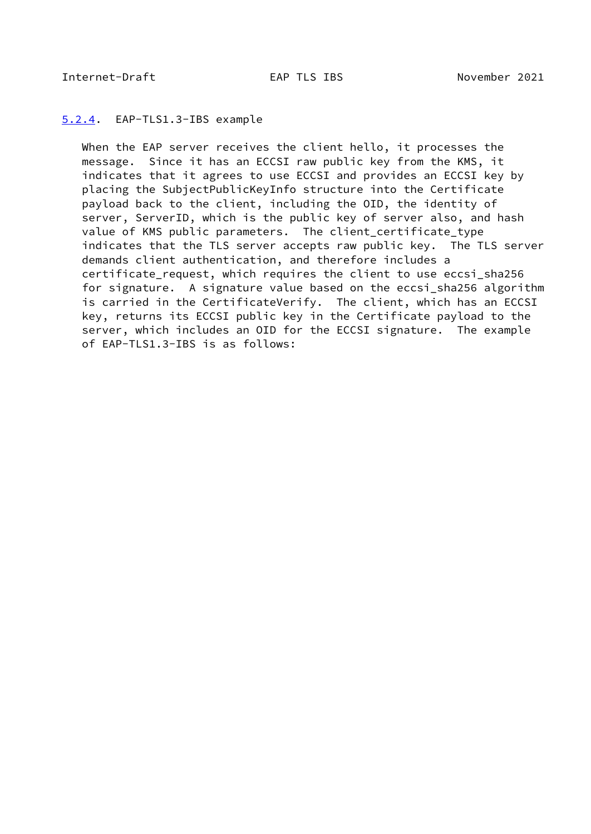### <span id="page-17-1"></span><span id="page-17-0"></span>[5.2.4](#page-17-0). EAP-TLS1.3-IBS example

 When the EAP server receives the client hello, it processes the message. Since it has an ECCSI raw public key from the KMS, it indicates that it agrees to use ECCSI and provides an ECCSI key by placing the SubjectPublicKeyInfo structure into the Certificate payload back to the client, including the OID, the identity of server, ServerID, which is the public key of server also, and hash value of KMS public parameters. The client\_certificate\_type indicates that the TLS server accepts raw public key. The TLS server demands client authentication, and therefore includes a certificate request, which requires the client to use eccsi sha256 for signature. A signature value based on the eccsi sha256 algorithm is carried in the CertificateVerify. The client, which has an ECCSI key, returns its ECCSI public key in the Certificate payload to the server, which includes an OID for the ECCSI signature. The example of EAP-TLS1.3-IBS is as follows: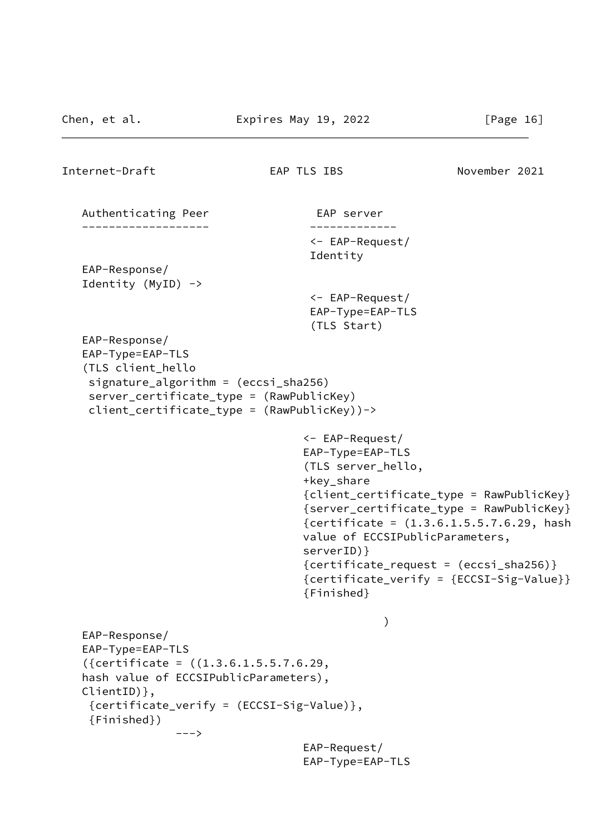```
Internet-Draft EAP TLS IBS November 2021
  Authenticating Peer EAP server
    ------------------- -------------
                                       <- EAP-Request/
                                       Identity
   EAP-Response/
    Identity (MyID) ->
                                       <- EAP-Request/
                                       EAP-Type=EAP-TLS
                                       (TLS Start)
   EAP-Response/
    EAP-Type=EAP-TLS
    (TLS client_hello
     signature_algorithm = (eccsi_sha256)
     server_certificate_type = (RawPublicKey)
     client_certificate_type = (RawPublicKey))->
                                      <- EAP-Request/
                                      EAP-Type=EAP-TLS
                                      (TLS server_hello,
                                      +key_share
                                      {client_certificate_type = RawPublicKey}
                                      {server_certificate_type = RawPublicKey}
                                      {certificate = (1.3.6.1.5.5.7.6.29, hash
                                      value of ECCSIPublicParameters,
                                      serverID)}
                                      {certificate_request = (eccsi_sha256)}
                                      {certificate_verify = {ECCSI-Sig-Value}}
                                      {Finished}
) and the contract of \mathcal{O}(\mathbb{R}^d) and \mathcal{O}(\mathbb{R}^d) EAP-Response/
    EAP-Type=EAP-TLS
    ({certificate = ((1.3.6.1.5.5.7.6.29,
    hash value of ECCSIPublicParameters),
    ClientID)},
     {certificate_verify = (ECCSI-Sig-Value)},
     {Finished})
                  --->
                                      EAP-Request/
                                      EAP-Type=EAP-TLS
```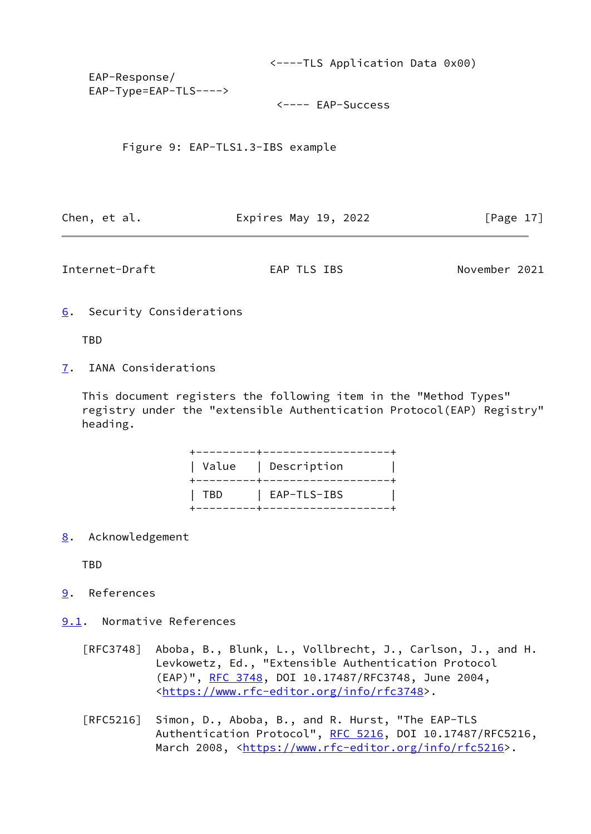<----TLS Application Data 0x00) EAP-Response/ EAP-Type=EAP-TLS---->

<---- EAP-Success

Figure 9: EAP-TLS1.3-IBS example

Chen, et al. **Expires May 19, 2022** [Page 17]

<span id="page-19-1"></span>Internet-Draft EAP TLS IBS November 2021

<span id="page-19-0"></span>[6](#page-19-0). Security Considerations

**TBD** 

<span id="page-19-2"></span>[7](#page-19-2). IANA Considerations

 This document registers the following item in the "Method Types" registry under the "extensible Authentication Protocol(EAP) Registry" heading.

|             | --------------<br>  Value   Description |
|-------------|-----------------------------------------|
| $\cdot$ TBD | $ $ EAP-TLS-IBS                         |

<span id="page-19-3"></span>[8](#page-19-3). Acknowledgement

TBD

<span id="page-19-4"></span>[9](#page-19-4). References

<span id="page-19-5"></span>[9.1](#page-19-5). Normative References

- [RFC3748] Aboba, B., Blunk, L., Vollbrecht, J., Carlson, J., and H. Levkowetz, Ed., "Extensible Authentication Protocol (EAP)", [RFC 3748,](https://datatracker.ietf.org/doc/pdf/rfc3748) DOI 10.17487/RFC3748, June 2004, <[https://www.rfc-editor.org/info/rfc3748>](https://www.rfc-editor.org/info/rfc3748).
- [RFC5216] Simon, D., Aboba, B., and R. Hurst, "The EAP-TLS Authentication Protocol", [RFC 5216](https://datatracker.ietf.org/doc/pdf/rfc5216), DOI 10.17487/RFC5216, March 2008, [<https://www.rfc-editor.org/info/rfc5216](https://www.rfc-editor.org/info/rfc5216)>.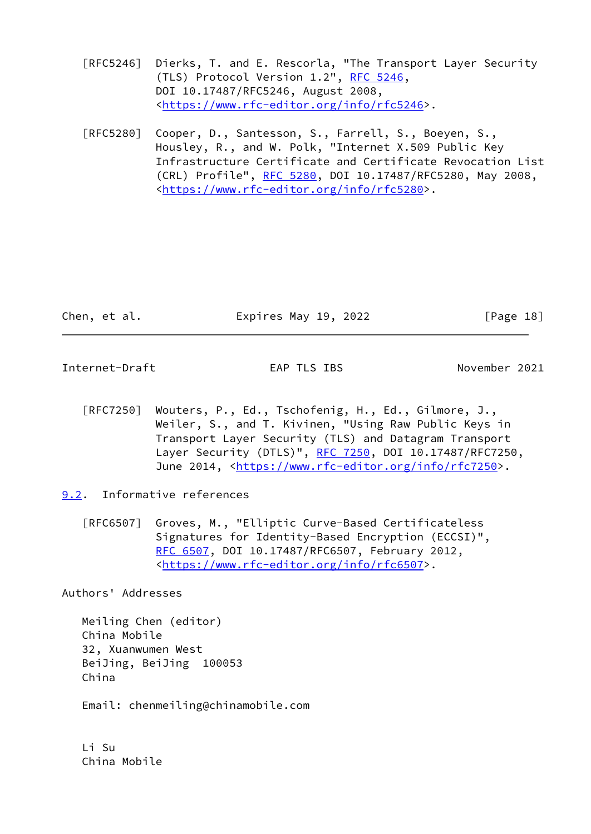- [RFC5246] Dierks, T. and E. Rescorla, "The Transport Layer Security (TLS) Protocol Version 1.2", [RFC 5246](https://datatracker.ietf.org/doc/pdf/rfc5246), DOI 10.17487/RFC5246, August 2008, <[https://www.rfc-editor.org/info/rfc5246>](https://www.rfc-editor.org/info/rfc5246).
- [RFC5280] Cooper, D., Santesson, S., Farrell, S., Boeyen, S., Housley, R., and W. Polk, "Internet X.509 Public Key Infrastructure Certificate and Certificate Revocation List (CRL) Profile", [RFC 5280,](https://datatracker.ietf.org/doc/pdf/rfc5280) DOI 10.17487/RFC5280, May 2008, <[https://www.rfc-editor.org/info/rfc5280>](https://www.rfc-editor.org/info/rfc5280).

| Chen, et al. | Expires May 19, 2022 | [Page 18] |  |
|--------------|----------------------|-----------|--|
|              |                      |           |  |

<span id="page-20-1"></span>Internet-Draft EAP TLS IBS November 2021

- [RFC7250] Wouters, P., Ed., Tschofenig, H., Ed., Gilmore, J., Weiler, S., and T. Kivinen, "Using Raw Public Keys in Transport Layer Security (TLS) and Datagram Transport Layer Security (DTLS)", [RFC 7250,](https://datatracker.ietf.org/doc/pdf/rfc7250) DOI 10.17487/RFC7250, June 2014, <<https://www.rfc-editor.org/info/rfc7250>>.
- <span id="page-20-0"></span>[9.2](#page-20-0). Informative references
	- [RFC6507] Groves, M., "Elliptic Curve-Based Certificateless Signatures for Identity-Based Encryption (ECCSI)", [RFC 6507,](https://datatracker.ietf.org/doc/pdf/rfc6507) DOI 10.17487/RFC6507, February 2012, <[https://www.rfc-editor.org/info/rfc6507>](https://www.rfc-editor.org/info/rfc6507).

Authors' Addresses

 Meiling Chen (editor) China Mobile 32, Xuanwumen West BeiJing, BeiJing 100053 China

Email: chenmeiling@chinamobile.com

 Li Su China Mobile